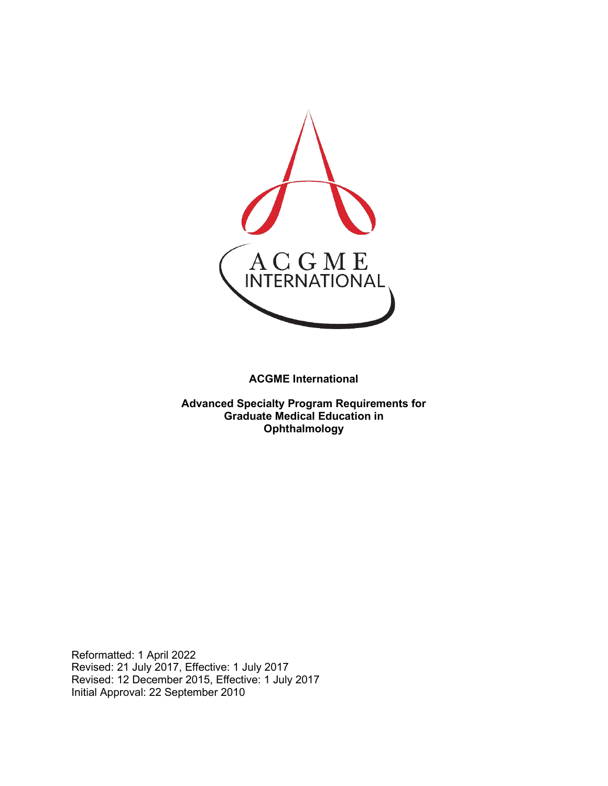

**ACGME International** 

**Advanced Specialty Program Requirements for Graduate Medical Education in Ophthalmology**

Reformatted: 1 April 2022 Revised: 21 July 2017, Effective: 1 July 2017 Revised: 12 December 2015, Effective: 1 July 2017 Initial Approval: 22 September 2010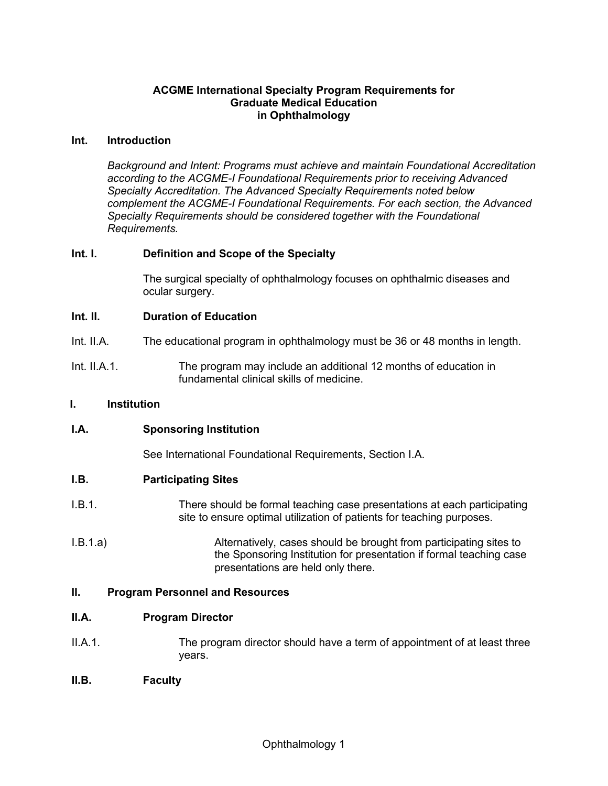### **ACGME International Specialty Program Requirements for Graduate Medical Education in Ophthalmology**

### **Int. Introduction**

*Background and Intent: Programs must achieve and maintain Foundational Accreditation according to the ACGME-I Foundational Requirements prior to receiving Advanced Specialty Accreditation. The Advanced Specialty Requirements noted below complement the ACGME-I Foundational Requirements. For each section, the Advanced Specialty Requirements should be considered together with the Foundational Requirements.*

### **Int. I. Definition and Scope of the Specialty**

The surgical specialty of ophthalmology focuses on ophthalmic diseases and ocular surgery.

### **Int. II. Duration of Education**

- Int. II.A. The educational program in ophthalmology must be 36 or 48 months in length.
- Int. II.A.1. The program may include an additional 12 months of education in fundamental clinical skills of medicine.

### **I. Institution**

### **I.A. Sponsoring Institution**

See International Foundational Requirements, Section I.A.

### **I.B. Participating Sites**

- I.B.1. There should be formal teaching case presentations at each participating site to ensure optimal utilization of patients for teaching purposes.
- I.B.1.a) Alternatively, cases should be brought from participating sites to the Sponsoring Institution for presentation if formal teaching case presentations are held only there.

### **II. Program Personnel and Resources**

### **II.A. Program Director**

- II.A.1. The program director should have a term of appointment of at least three years.
- **II.B. Faculty**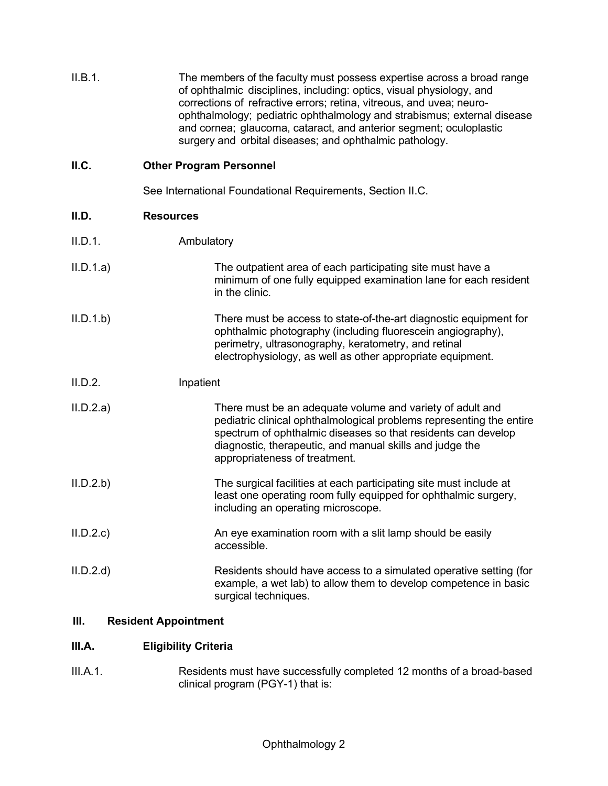| II.B.1. | The members of the faculty must possess expertise across a broad range<br>of ophthalmic disciplines, including: optics, visual physiology, and<br>corrections of refractive errors; retina, vitreous, and uvea; neuro-<br>ophthalmology; pediatric ophthalmology and strabismus; external disease<br>and cornea; glaucoma, cataract, and anterior segment; oculoplastic |
|---------|-------------------------------------------------------------------------------------------------------------------------------------------------------------------------------------------------------------------------------------------------------------------------------------------------------------------------------------------------------------------------|
|         | surgery and orbital diseases; and ophthalmic pathology.                                                                                                                                                                                                                                                                                                                 |

# **II.C. Other Program Personnel**

See International Foundational Requirements, Section II.C.

| II.D.     | <b>Resources</b> |                                                                                                                                                                                                                                                                                                 |
|-----------|------------------|-------------------------------------------------------------------------------------------------------------------------------------------------------------------------------------------------------------------------------------------------------------------------------------------------|
| II.D.1.   | Ambulatory       |                                                                                                                                                                                                                                                                                                 |
| II.D.1.a) |                  | The outpatient area of each participating site must have a<br>minimum of one fully equipped examination lane for each resident<br>in the clinic.                                                                                                                                                |
| II.D.1.b  |                  | There must be access to state-of-the-art diagnostic equipment for<br>ophthalmic photography (including fluorescein angiography),<br>perimetry, ultrasonography, keratometry, and retinal<br>electrophysiology, as well as other appropriate equipment.                                          |
| II.D.2.   | Inpatient        |                                                                                                                                                                                                                                                                                                 |
| II.D.2.a) |                  | There must be an adequate volume and variety of adult and<br>pediatric clinical ophthalmological problems representing the entire<br>spectrum of ophthalmic diseases so that residents can develop<br>diagnostic, therapeutic, and manual skills and judge the<br>appropriateness of treatment. |
| II.D.2.b  |                  | The surgical facilities at each participating site must include at<br>least one operating room fully equipped for ophthalmic surgery,<br>including an operating microscope.                                                                                                                     |
| II.D.2.c  |                  | An eye examination room with a slit lamp should be easily<br>accessible.                                                                                                                                                                                                                        |
| II.D.2.d  |                  | Residents should have access to a simulated operative setting (for<br>example, a wet lab) to allow them to develop competence in basic<br>surgical techniques.                                                                                                                                  |

# **III. Resident Appointment**

## **III.A. Eligibility Criteria**

III.A.1. Residents must have successfully completed 12 months of a broad-based clinical program (PGY-1) that is: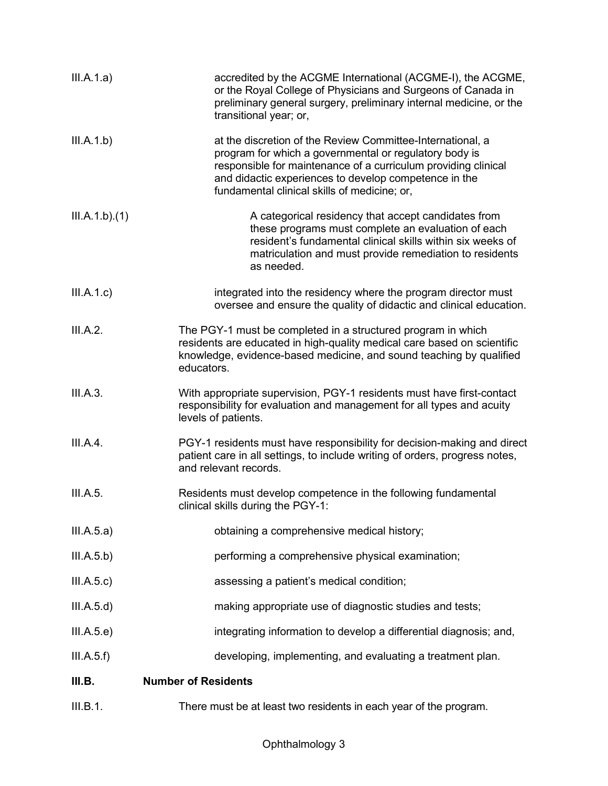| III.A.1.a)    | accredited by the ACGME International (ACGME-I), the ACGME,<br>or the Royal College of Physicians and Surgeons of Canada in<br>preliminary general surgery, preliminary internal medicine, or the<br>transitional year; or,                                                                     |
|---------------|-------------------------------------------------------------------------------------------------------------------------------------------------------------------------------------------------------------------------------------------------------------------------------------------------|
| III.A.1.b)    | at the discretion of the Review Committee-International, a<br>program for which a governmental or regulatory body is<br>responsible for maintenance of a curriculum providing clinical<br>and didactic experiences to develop competence in the<br>fundamental clinical skills of medicine; or, |
| III.A.1.b)(1) | A categorical residency that accept candidates from<br>these programs must complete an evaluation of each<br>resident's fundamental clinical skills within six weeks of<br>matriculation and must provide remediation to residents<br>as needed.                                                |
| III.A.1.c)    | integrated into the residency where the program director must<br>oversee and ensure the quality of didactic and clinical education.                                                                                                                                                             |
| III.A.2.      | The PGY-1 must be completed in a structured program in which<br>residents are educated in high-quality medical care based on scientific<br>knowledge, evidence-based medicine, and sound teaching by qualified<br>educators.                                                                    |
| III.A.3.      | With appropriate supervision, PGY-1 residents must have first-contact<br>responsibility for evaluation and management for all types and acuity<br>levels of patients.                                                                                                                           |
| III.A.4.      | PGY-1 residents must have responsibility for decision-making and direct<br>patient care in all settings, to include writing of orders, progress notes,<br>and relevant records.                                                                                                                 |
| III.A.5.      | Residents must develop competence in the following fundamental<br>clinical skills during the PGY-1:                                                                                                                                                                                             |
| III.A.5.a)    | obtaining a comprehensive medical history;                                                                                                                                                                                                                                                      |
| III.A.5.b)    | performing a comprehensive physical examination;                                                                                                                                                                                                                                                |
| III.A.5.c)    | assessing a patient's medical condition;                                                                                                                                                                                                                                                        |
| III.A.5.d)    | making appropriate use of diagnostic studies and tests;                                                                                                                                                                                                                                         |
| III.A.5.e)    | integrating information to develop a differential diagnosis; and,                                                                                                                                                                                                                               |
| III.A.5.f)    | developing, implementing, and evaluating a treatment plan.                                                                                                                                                                                                                                      |
| III.B.        | <b>Number of Residents</b>                                                                                                                                                                                                                                                                      |
| III.B.1.      | There must be at least two residents in each year of the program.                                                                                                                                                                                                                               |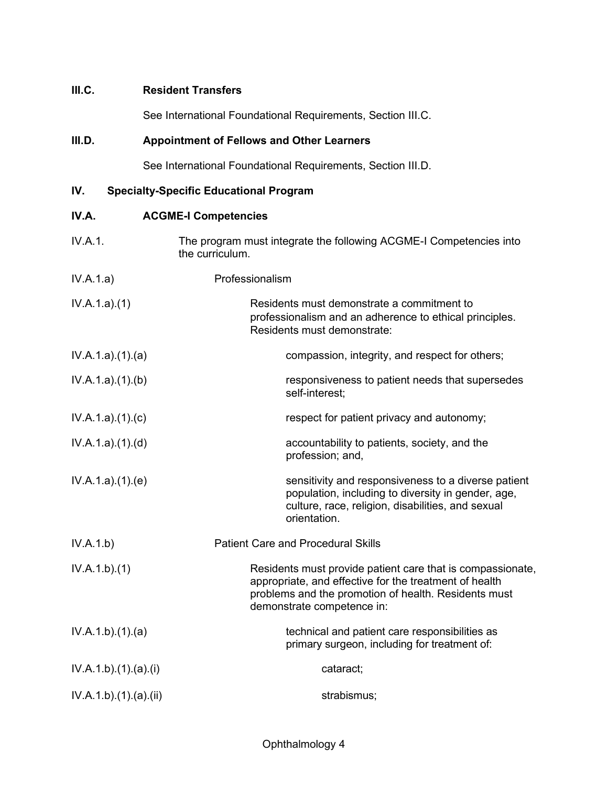## **III.C. Resident Transfers**

See International Foundational Requirements, Section III.C.

# **III.D. Appointment of Fellows and Other Learners**

See International Foundational Requirements, Section III.D.

## **IV. Specialty-Specific Educational Program**

| IV.A.               | <b>ACGME-I Competencies</b>                                                                                                                                                                                |
|---------------------|------------------------------------------------------------------------------------------------------------------------------------------------------------------------------------------------------------|
| IV.A.1.             | The program must integrate the following ACGME-I Competencies into<br>the curriculum.                                                                                                                      |
| IV.A.1.a)           | Professionalism                                                                                                                                                                                            |
| IV.A.1.a)(1)        | Residents must demonstrate a commitment to<br>professionalism and an adherence to ethical principles.<br>Residents must demonstrate:                                                                       |
| IV.A.1.a)(1)(a)     | compassion, integrity, and respect for others;                                                                                                                                                             |
| IV.A.1.a)(1)(b)     | responsiveness to patient needs that supersedes<br>self-interest;                                                                                                                                          |
| IV.A.1.a)(1)(c)     | respect for patient privacy and autonomy;                                                                                                                                                                  |
| IV.A.1.a)(1)(d)     | accountability to patients, society, and the<br>profession; and,                                                                                                                                           |
| IV.A.1.a)(1)(e)     | sensitivity and responsiveness to a diverse patient<br>population, including to diversity in gender, age,<br>culture, race, religion, disabilities, and sexual<br>orientation.                             |
| IV.A.1.b)           | <b>Patient Care and Procedural Skills</b>                                                                                                                                                                  |
| IV.A.1.b)(1)        | Residents must provide patient care that is compassionate,<br>appropriate, and effective for the treatment of health<br>problems and the promotion of health. Residents must<br>demonstrate competence in: |
| IV.A.1.b)(1)(a)     | technical and patient care responsibilities as<br>primary surgeon, including for treatment of:                                                                                                             |
| IV.A.1.b)(1).(a)(i) | cataract;                                                                                                                                                                                                  |
| IV.A.1.b)(1)(a)(ii) | strabismus;                                                                                                                                                                                                |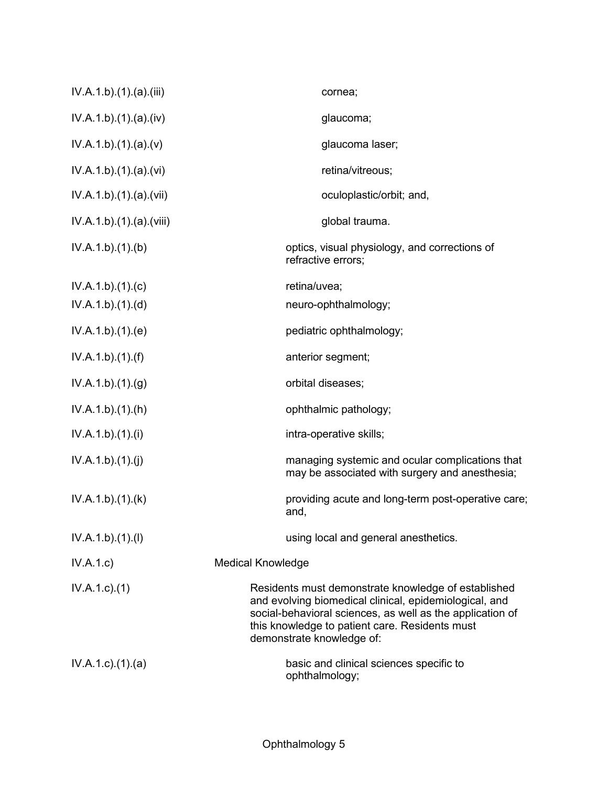| IV.A.1.b)(1)(a)(iii)      | cornea;                                                                                                                                                                                                                                                   |
|---------------------------|-----------------------------------------------------------------------------------------------------------------------------------------------------------------------------------------------------------------------------------------------------------|
| IV.A.1.b)(1)(a)(iv)       | glaucoma;                                                                                                                                                                                                                                                 |
| IV.A.1.b)(1)(a)(v)        | glaucoma laser;                                                                                                                                                                                                                                           |
| IV.A.1.b)(1)(a)(vi)       | retina/vitreous;                                                                                                                                                                                                                                          |
| IV.A.1.b).(1).(a).(vii)   | oculoplastic/orbit; and,                                                                                                                                                                                                                                  |
| IV.A.1.b).(1).(a).(viii)  | global trauma.                                                                                                                                                                                                                                            |
| IV.A.1.b)(1)(b)           | optics, visual physiology, and corrections of<br>refractive errors;                                                                                                                                                                                       |
| IV.A.1.b)(1)(c)           | retina/uvea;                                                                                                                                                                                                                                              |
| IV.A.1.b)(1)(d)           | neuro-ophthalmology;                                                                                                                                                                                                                                      |
| IV.A.1.b)(1)(e)           | pediatric ophthalmology;                                                                                                                                                                                                                                  |
| IV.A.1.b)(1)(f)           | anterior segment;                                                                                                                                                                                                                                         |
| IV.A.1.b)(1)(g)           | orbital diseases;                                                                                                                                                                                                                                         |
| IV.A.1.b)(1)(h)           | ophthalmic pathology;                                                                                                                                                                                                                                     |
| IV.A.1.b)(1)(i)           | intra-operative skills;                                                                                                                                                                                                                                   |
| IV.A.1.b)(1)(j)           | managing systemic and ocular complications that<br>may be associated with surgery and anesthesia;                                                                                                                                                         |
| IV.A.1.b)(1)(k)           | providing acute and long-term post-operative care;<br>and,                                                                                                                                                                                                |
| IV.A.1.b)(1)(I)           | using local and general anesthetics.                                                                                                                                                                                                                      |
| IV.A.1.c)                 | <b>Medical Knowledge</b>                                                                                                                                                                                                                                  |
| $IV.A.1.c.$ (1)           | Residents must demonstrate knowledge of established<br>and evolving biomedical clinical, epidemiological, and<br>social-behavioral sciences, as well as the application of<br>this knowledge to patient care. Residents must<br>demonstrate knowledge of: |
| $IV.A.1.c$ . $(1).$ $(a)$ | basic and clinical sciences specific to<br>ophthalmology;                                                                                                                                                                                                 |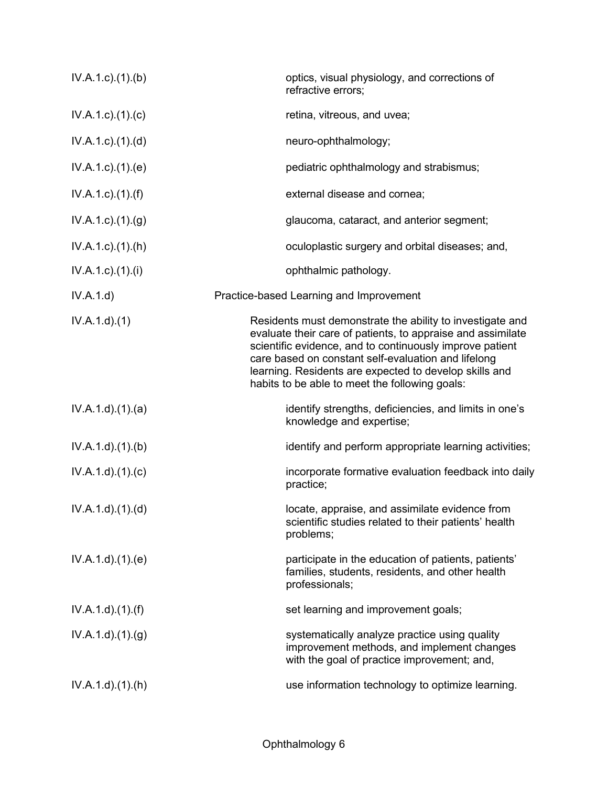| $IV.A.1.c$ . $(1).$ (b)   | optics, visual physiology, and corrections of<br>refractive errors;                                                                                                                                                                                                                                                                                     |
|---------------------------|---------------------------------------------------------------------------------------------------------------------------------------------------------------------------------------------------------------------------------------------------------------------------------------------------------------------------------------------------------|
| $IV.A.1.c$ . $(1).$ $(c)$ | retina, vitreous, and uvea;                                                                                                                                                                                                                                                                                                                             |
| $IV.A.1.c$ . $(1).$ $(d)$ | neuro-ophthalmology;                                                                                                                                                                                                                                                                                                                                    |
| IV.A.1.c)(1)(e)           | pediatric ophthalmology and strabismus;                                                                                                                                                                                                                                                                                                                 |
| $IV.A.1.c$ ). $(1).(f)$   | external disease and cornea;                                                                                                                                                                                                                                                                                                                            |
| $IV.A.1.c$ . $(1).(g)$    | glaucoma, cataract, and anterior segment;                                                                                                                                                                                                                                                                                                               |
| $IV.A.1.c$ . $(1).(h)$    | oculoplastic surgery and orbital diseases; and,                                                                                                                                                                                                                                                                                                         |
| IV.A.1.c)(1).(i)          | ophthalmic pathology.                                                                                                                                                                                                                                                                                                                                   |
| IV.A.1.d                  | Practice-based Learning and Improvement                                                                                                                                                                                                                                                                                                                 |
| IV.A.1.d.(1)              | Residents must demonstrate the ability to investigate and<br>evaluate their care of patients, to appraise and assimilate<br>scientific evidence, and to continuously improve patient<br>care based on constant self-evaluation and lifelong<br>learning. Residents are expected to develop skills and<br>habits to be able to meet the following goals: |
| IV.A.1.d.(1).(a)          | identify strengths, deficiencies, and limits in one's<br>knowledge and expertise;                                                                                                                                                                                                                                                                       |
| IV.A.1.d).(1).(b)         | identify and perform appropriate learning activities;                                                                                                                                                                                                                                                                                                   |
| IV.A.1.d)(1)(c)           | incorporate formative evaluation feedback into daily<br>practice;                                                                                                                                                                                                                                                                                       |
| IV.A.1.d)(1)(d)           | locate, appraise, and assimilate evidence from<br>scientific studies related to their patients' health<br>problems;                                                                                                                                                                                                                                     |
| IV.A.1.d.(1).(e)          | participate in the education of patients, patients'<br>families, students, residents, and other health<br>professionals;                                                                                                                                                                                                                                |
| $IV.A.1.d$ . $(1).(f)$    | set learning and improvement goals;                                                                                                                                                                                                                                                                                                                     |
| IV.A.1.d)(1)(g)           | systematically analyze practice using quality<br>improvement methods, and implement changes<br>with the goal of practice improvement; and,                                                                                                                                                                                                              |
| $IV.A.1.d$ . $(1).(h)$    | use information technology to optimize learning.                                                                                                                                                                                                                                                                                                        |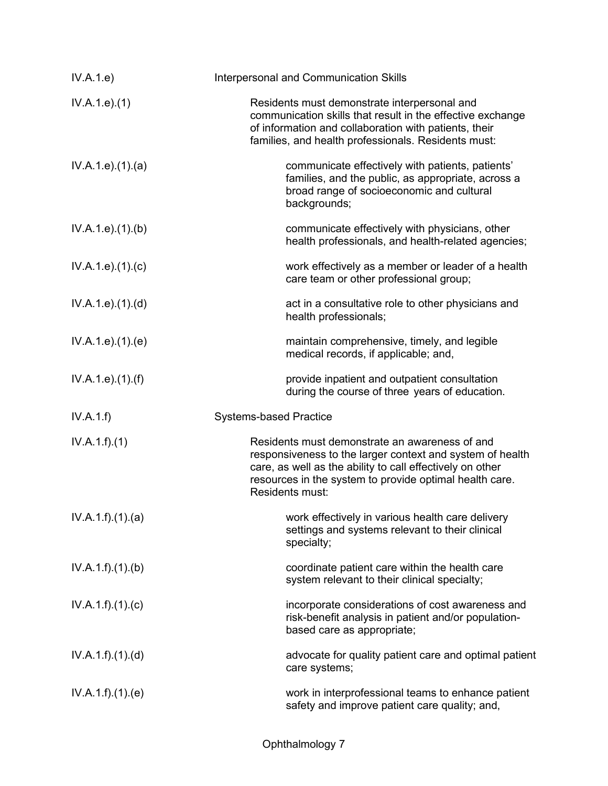| IV.A.1.e)          | Interpersonal and Communication Skills                                                                                                                                                                                                                 |
|--------------------|--------------------------------------------------------------------------------------------------------------------------------------------------------------------------------------------------------------------------------------------------------|
| IV.A.1.e. (1)      | Residents must demonstrate interpersonal and<br>communication skills that result in the effective exchange<br>of information and collaboration with patients, their<br>families, and health professionals. Residents must:                             |
| IV.A.1.e. (1). (a) | communicate effectively with patients, patients'<br>families, and the public, as appropriate, across a<br>broad range of socioeconomic and cultural<br>backgrounds;                                                                                    |
| IV.A.1.e. (1)(b)   | communicate effectively with physicians, other<br>health professionals, and health-related agencies;                                                                                                                                                   |
| IV.A.1.e) (1) (c)  | work effectively as a member or leader of a health<br>care team or other professional group;                                                                                                                                                           |
| IV.A.1.e. (1). (d) | act in a consultative role to other physicians and<br>health professionals;                                                                                                                                                                            |
| IV.A.1.e. (1)(e)   | maintain comprehensive, timely, and legible<br>medical records, if applicable; and,                                                                                                                                                                    |
| IV.A.1.e. (1). (f) | provide inpatient and outpatient consultation<br>during the course of three years of education.                                                                                                                                                        |
| IV.A.1.f)          | <b>Systems-based Practice</b>                                                                                                                                                                                                                          |
| IV.A.1.f)(1)       | Residents must demonstrate an awareness of and<br>responsiveness to the larger context and system of health<br>care, as well as the ability to call effectively on other<br>resources in the system to provide optimal health care.<br>Residents must: |
| IV.A.1.f)(1)(a)    | work effectively in various health care delivery<br>settings and systems relevant to their clinical<br>specialty;                                                                                                                                      |
| IV.A.1.f)(1)(b)    | coordinate patient care within the health care<br>system relevant to their clinical specialty;                                                                                                                                                         |
| IV.A.1.f)(1)(c)    | incorporate considerations of cost awareness and<br>risk-benefit analysis in patient and/or population-<br>based care as appropriate;                                                                                                                  |
| IV.A.1.f)(1)(d)    | advocate for quality patient care and optimal patient<br>care systems;                                                                                                                                                                                 |
| IV.A.1.f)(1)(e)    | work in interprofessional teams to enhance patient<br>safety and improve patient care quality; and,                                                                                                                                                    |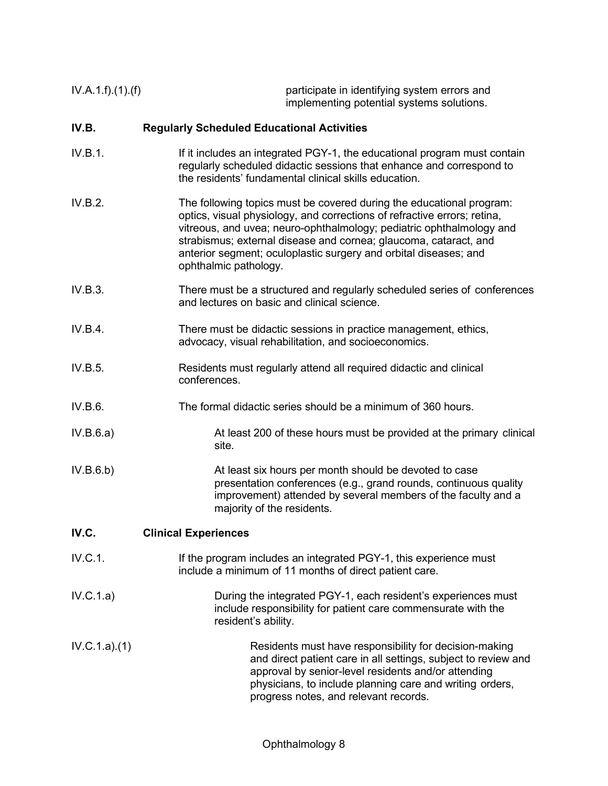IV.A.1.f).(1).(f) participate in identifying system errors and implementing potential systems solutions.

### **IV.B. Regularly Scheduled Educational Activities**

- IV.B.1. If it includes an integrated PGY-1, the educational program must contain regularly scheduled didactic sessions that enhance and correspond to the residents' fundamental clinical skills education.
- IV.B.2. The following topics must be covered during the educational program: optics, visual physiology, and corrections of refractive errors; retina, vitreous, and uvea; neuro-ophthalmology; pediatric ophthalmology and strabismus; external disease and cornea; glaucoma, cataract, and anterior segment; oculoplastic surgery and orbital diseases; and ophthalmic pathology.
- IV.B.3. There must be a structured and regularly scheduled series of conferences and lectures on basic and clinical science.
- IV.B.4. There must be didactic sessions in practice management, ethics, advocacy, visual rehabilitation, and socioeconomics.
- IV.B.5. Residents must regularly attend all required didactic and clinical conferences.
- IV.B.6. The formal didactic series should be a minimum of 360 hours.
- IV.B.6.a) At least 200 of these hours must be provided at the primary clinical site.
- IV.B.6.b) At least six hours per month should be devoted to case presentation conferences (e.g., grand rounds, continuous quality improvement) attended by several members of the faculty and a majority of the residents.

### **IV.C. Clinical Experiences**

- IV.C.1. If the program includes an integrated PGY-1, this experience must include a minimum of 11 months of direct patient care.
- IV.C.1.a) During the integrated PGY-1, each resident's experiences must include responsibility for patient care commensurate with the resident's ability.
- IV.C.1.a).(1) Residents must have responsibility for decision-making and direct patient care in all settings, subject to review and approval by senior-level residents and/or attending physicians, to include planning care and writing orders, progress notes, and relevant records.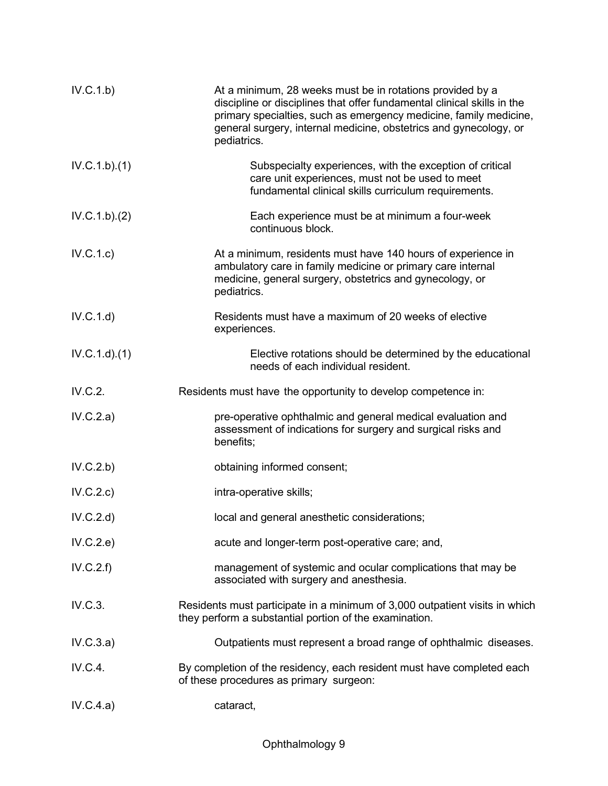| IV.C.1.b)    | At a minimum, 28 weeks must be in rotations provided by a<br>discipline or disciplines that offer fundamental clinical skills in the<br>primary specialties, such as emergency medicine, family medicine,<br>general surgery, internal medicine, obstetrics and gynecology, or<br>pediatrics. |
|--------------|-----------------------------------------------------------------------------------------------------------------------------------------------------------------------------------------------------------------------------------------------------------------------------------------------|
| IV.C.1.b)(1) | Subspecialty experiences, with the exception of critical<br>care unit experiences, must not be used to meet<br>fundamental clinical skills curriculum requirements.                                                                                                                           |
| IV.C.1.b)(2) | Each experience must be at minimum a four-week<br>continuous block.                                                                                                                                                                                                                           |
| IV.C.1.c)    | At a minimum, residents must have 140 hours of experience in<br>ambulatory care in family medicine or primary care internal<br>medicine, general surgery, obstetrics and gynecology, or<br>pediatrics.                                                                                        |
| IV.C.1.d     | Residents must have a maximum of 20 weeks of elective<br>experiences.                                                                                                                                                                                                                         |
| IV.C.1.d)(1) | Elective rotations should be determined by the educational<br>needs of each individual resident.                                                                                                                                                                                              |
| IV.C.2.      | Residents must have the opportunity to develop competence in:                                                                                                                                                                                                                                 |
| IV.C.2.a)    | pre-operative ophthalmic and general medical evaluation and<br>assessment of indications for surgery and surgical risks and<br>benefits;                                                                                                                                                      |
| IV.C.2.b)    | obtaining informed consent;                                                                                                                                                                                                                                                                   |
| IV.C.2.c)    | intra-operative skills;                                                                                                                                                                                                                                                                       |
| IV.C.2.d)    | local and general anesthetic considerations;                                                                                                                                                                                                                                                  |
| IV.C.2.e)    | acute and longer-term post-operative care; and,                                                                                                                                                                                                                                               |
| IV.C.2.f)    | management of systemic and ocular complications that may be<br>associated with surgery and anesthesia.                                                                                                                                                                                        |
| IV.C.3.      | Residents must participate in a minimum of 3,000 outpatient visits in which<br>they perform a substantial portion of the examination.                                                                                                                                                         |
| IV.C.3.a)    | Outpatients must represent a broad range of ophthalmic diseases.                                                                                                                                                                                                                              |
| IV.C.4.      | By completion of the residency, each resident must have completed each<br>of these procedures as primary surgeon:                                                                                                                                                                             |
| IV.C.4.a)    | cataract,                                                                                                                                                                                                                                                                                     |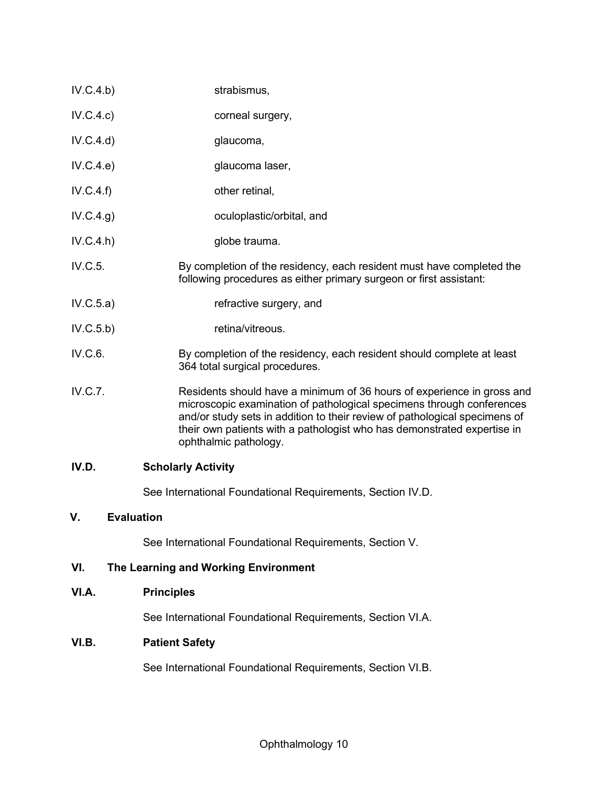| IV.D.     | <b>Scholarly Activity</b>                                                                                                                                                                                                                                                                                                         |
|-----------|-----------------------------------------------------------------------------------------------------------------------------------------------------------------------------------------------------------------------------------------------------------------------------------------------------------------------------------|
| IV.C.7.   | Residents should have a minimum of 36 hours of experience in gross and<br>microscopic examination of pathological specimens through conferences<br>and/or study sets in addition to their review of pathological specimens of<br>their own patients with a pathologist who has demonstrated expertise in<br>ophthalmic pathology. |
| IV.C.6.   | By completion of the residency, each resident should complete at least<br>364 total surgical procedures.                                                                                                                                                                                                                          |
| IV.C.5.b) | retina/vitreous.                                                                                                                                                                                                                                                                                                                  |
| IV.C.5.a) | refractive surgery, and                                                                                                                                                                                                                                                                                                           |
| IV.C.5.   | By completion of the residency, each resident must have completed the<br>following procedures as either primary surgeon or first assistant:                                                                                                                                                                                       |
| IV.C.4.h) | globe trauma.                                                                                                                                                                                                                                                                                                                     |
| IV.C.4.g) | oculoplastic/orbital, and                                                                                                                                                                                                                                                                                                         |
| IV.C.4.f) | other retinal,                                                                                                                                                                                                                                                                                                                    |
| IV.C.4.e) | glaucoma laser,                                                                                                                                                                                                                                                                                                                   |
| IV.C.4.d) | glaucoma,                                                                                                                                                                                                                                                                                                                         |
| IV.C.4.c) | corneal surgery,                                                                                                                                                                                                                                                                                                                  |
| IV.C.4.b) | strabismus,                                                                                                                                                                                                                                                                                                                       |
|           |                                                                                                                                                                                                                                                                                                                                   |

See International Foundational Requirements, Section IV.D.

## **V. Evaluation**

See International Foundational Requirements, Section V.

# **VI. The Learning and Working Environment**

# **VI.A. Principles**

See International Foundational Requirements, Section VI.A.

# **VI.B. Patient Safety**

See International Foundational Requirements, Section VI.B.